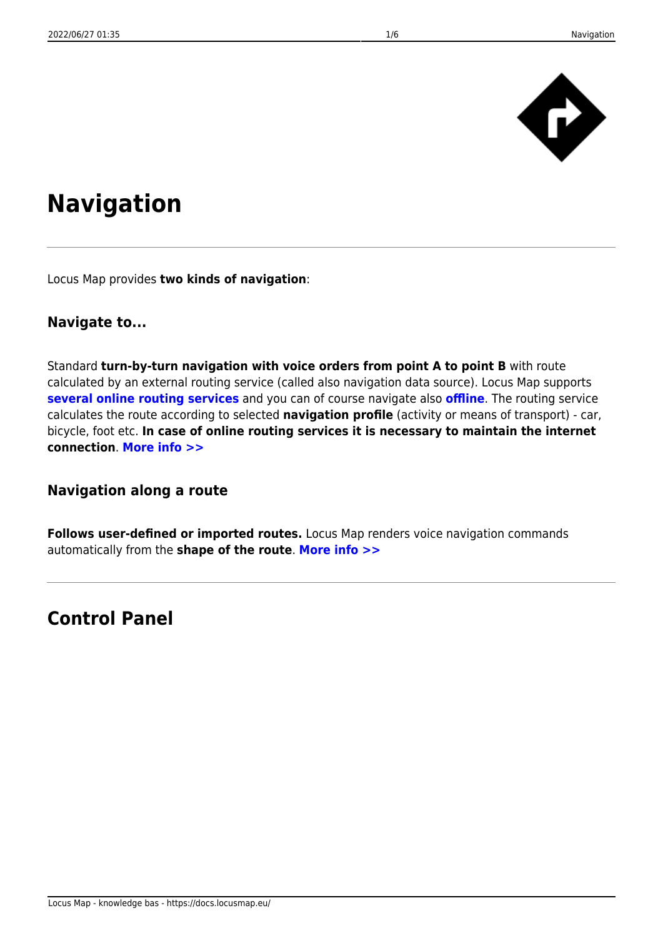

# **Navigation**

Locus Map provides **two kinds of navigation**:

#### **Navigate to...**

Standard **turn-by-turn navigation with voice orders from point A to point B** with route calculated by an external routing service (called also navigation data source). Locus Map supports **[several online routing services](https://docs.locusmap.eu/doku.php?id=manual:user_guide:functions:navigation:settings)** and you can of course navigate also **[offline](https://docs.locusmap.eu/doku.php?id=manual:user_guide:functions:navigation:point-to-point#brouter_-_offline_routing_service)**. The routing service calculates the route according to selected **navigation profile** (activity or means of transport) - car, bicycle, foot etc. **In case of online routing services it is necessary to maintain the internet connection**. **[More info >>](https://docs.locusmap.eu/doku.php?id=manual:user_guide:functions:navigation:point-to-point)**

#### **Navigation along a route**

**Follows user-defined or imported routes.** Locus Map renders voice navigation commands automatically from the **shape of the route**. **[More info >>](https://docs.locusmap.eu/doku.php?id=manual:user_guide:functions:navigation:along-route)**

## **Control Panel**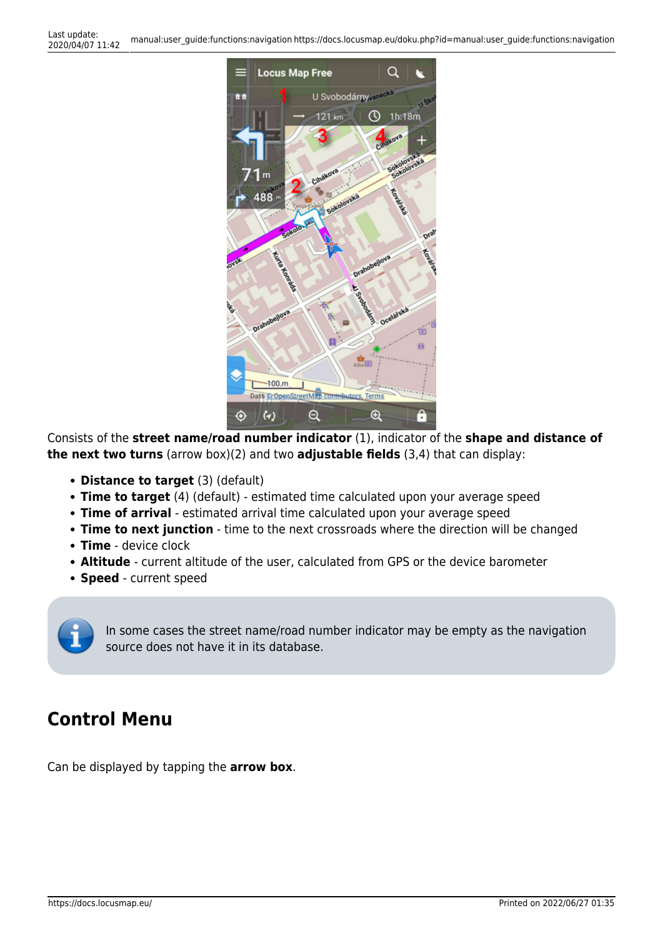

Consists of the **street name/road number indicator** (1), indicator of the **shape and distance of the next two turns** (arrow box)(2) and two **adjustable fields** (3,4) that can display:

- **Distance to target** (3) (default)
- **Time to target** (4) (default) estimated time calculated upon your average speed
- **Time of arrival** estimated arrival time calculated upon your average speed
- **Time to next junction** time to the next crossroads where the direction will be changed
- **Time** device clock
- **Altitude** current altitude of the user, calculated from GPS or the device barometer
- **Speed** current speed

In some cases the street name/road number indicator may be empty as the navigation source does not have it in its database.

# **Control Menu**

Can be displayed by tapping the **arrow box**.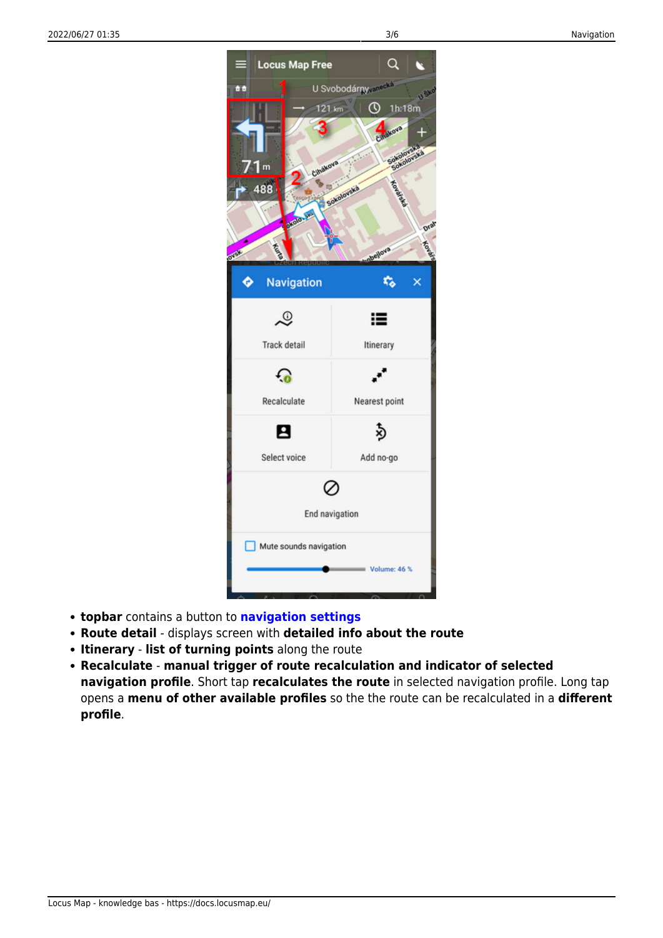

- **topbar** contains a button to **[navigation settings](https://docs.locusmap.eu/doku.php?id=manual:user_guide:functions:navigation:settings)**
- **Route detail** displays screen with **detailed info about the route**
- **Itinerary list of turning points** along the route
- **Recalculate manual trigger of route recalculation and indicator of selected navigation profile**. Short tap **recalculates the route** in selected navigation profile. Long tap opens a **menu of other available profiles** so the the route can be recalculated in a **different profile**.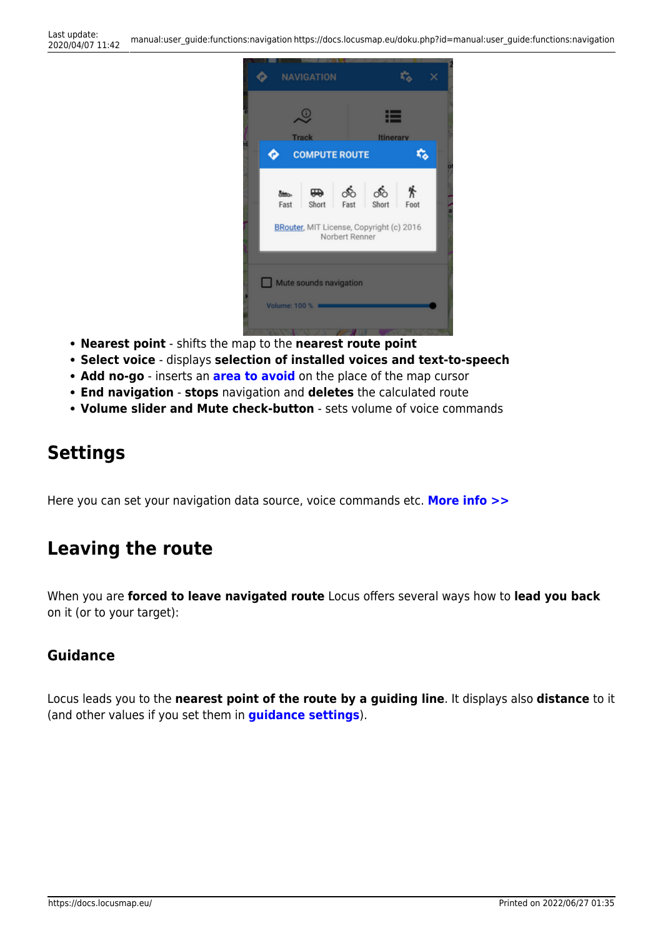

- **Nearest point** shifts the map to the **nearest route point**
- **Select voice** displays **selection of installed voices and text-to-speech**
- **Add no-go** inserts an **[area to avoid](https://docs.locusmap.eu/doku.php?id=manual:user_guide:tracks:planning#define_areas_to_avoid)** on the place of the map cursor
- **End navigation stops** navigation and **deletes** the calculated route
- **Volume slider and Mute check-button** sets volume of voice commands

# **Settings**

Here you can set your navigation data source, voice commands etc. **[More info >>](https://docs.locusmap.eu/doku.php?id=manual:user_guide:functions:navigation:settings)**

## **Leaving the route**

When you are **forced to leave navigated route** Locus offers several ways how to **lead you back** on it (or to your target):

#### **Guidance**

Locus leads you to the **nearest point of the route by a guiding line**. It displays also **distance** to it (and other values if you set them in **[guidance settings](https://docs.locusmap.eu/doku.php?id=manual:user_guide:functions:guidance:settings)**).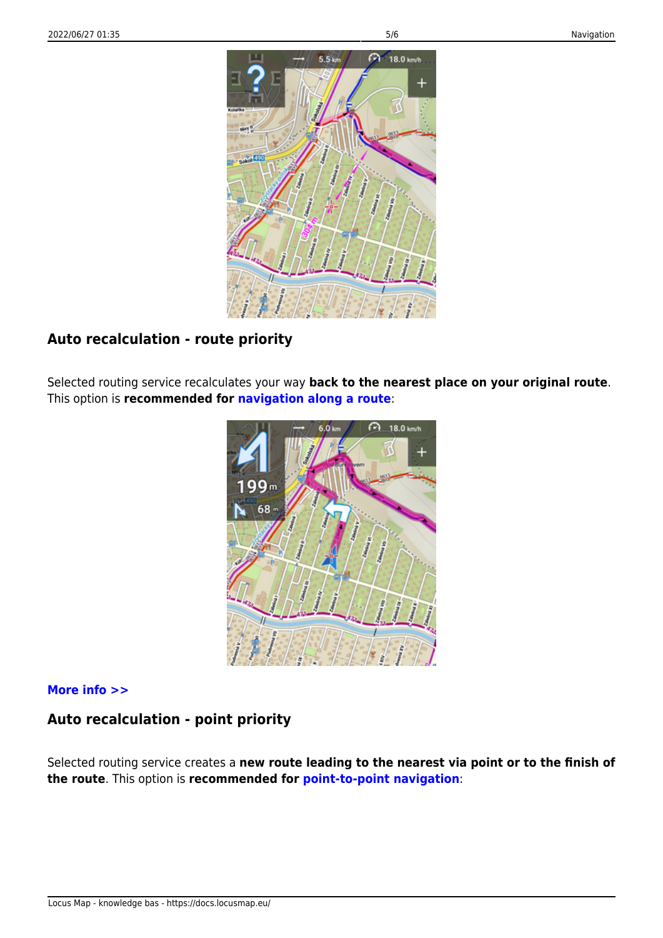

### **Auto recalculation - route priority**

Selected routing service recalculates your way **back to the nearest place on your original route**. This option is **recommended for [navigation along a route](https://docs.locusmap.eu/doku.php?id=manual:user_guide:functions:navigation:along-route)**:



#### **[More info >>](https://docs.locusmap.eu/doku.php?id=manual:user_guide:functions:navigation:settings#auto-recalculation)**

### **Auto recalculation - point priority**

Selected routing service creates a **new route leading to the nearest via point or to the finish of the route**. This option is **recommended for [point-to-point navigation](https://docs.locusmap.eu/doku.php?id=manual:user_guide:functions:navigation:point-to-point)**: